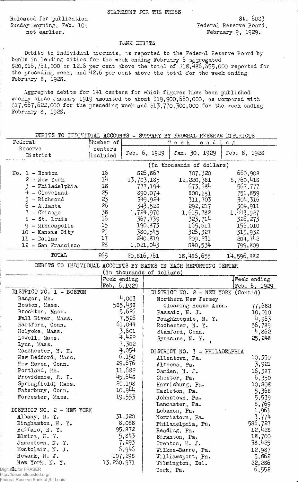STATEMENT FOR THE PRESS

Released for publication St. 6083 Sunday morning, Feb. 10; The Contract Sunday morning, Feb. 10;

not earlier. February 9, 1929.

## BAWK DEBITS

Debits to individual accounts, as reported to the Federal Reserve Board by banks in leading cities for the week ending February 6 aggregated §2 0 , 8 1 6 , *Jol*,0 0 0 or 1 2 .6 "per cent above the total of \$18,436,655,000 reported for the preceding week, and  $42.6$  per cent above the total for the week ending February 8, 1928.

Aggregate debits for 141 centers for which figures have been published weekly since January 1919 amounted to about  $$19,900,660,000,$  as compared with  $0.7$ ,667,622,000 for the preceding week and  $513,770,300$ ,000 for the week ending February 8, 1928.

| DEBITS TO INDIVIDUAL ACCOUNTS - SUMMARY BY FEDERAL RESERVE DISTRICTS |               |                           |                           |                                    |              |  |  |
|----------------------------------------------------------------------|---------------|---------------------------|---------------------------|------------------------------------|--------------|--|--|
| Federal                                                              | Number of     |                           | $\Pi$ e e k<br>ending     |                                    |              |  |  |
| Reserve                                                              | centers       |                           |                           |                                    |              |  |  |
| District                                                             | included      |                           | Feb. 6, 1929              | Jan. 30, 1929                      | Feb. 8, 1928 |  |  |
|                                                                      |               | (In thousands of dollars) |                           |                                    |              |  |  |
| $No. 1 - Boston$                                                     | 16            |                           | 826,867                   | 707,320                            | 660,908      |  |  |
| $2 - New York$                                                       | 14            |                           | 13,703,185                | 12,220,381                         | 8,760,418    |  |  |
| - Philadelphia                                                       | 18            |                           | 777.194                   | 673,684                            | 567,777      |  |  |
| 4 - Cleveland                                                        | 25            |                           |                           | 800,151                            | 751,859      |  |  |
| 5 - Richmond                                                         | 23            | 890,074                   |                           | 311,703                            | 304,316      |  |  |
| 6 - Atlanta                                                          | 26            | 349,924<br>343,528        |                           |                                    | 304,911      |  |  |
| $7$ - Chicago                                                        | 38            |                           |                           | 292, 217                           |              |  |  |
|                                                                      | 16            |                           | 1,724,970                 | 1,615,782                          | 1,443,927    |  |  |
| 8 - St. Louis                                                        |               | 367,739                   |                           | 323,714                            | 326, 273     |  |  |
| $9 -$ Minneapolis                                                    | 15            |                           | 190,873                   | 165,611                            | 156,010      |  |  |
| $10$ - Kansas City                                                   | 29            |                           | 380,545                   | 326,327                            | 315,932      |  |  |
| 11 - Dallas                                                          | 17            |                           | 240,819                   | 209, 231                           | 204,742      |  |  |
| 12 - San Francisco                                                   | 28            |                           | 1,021,043                 | 840,534                            | 799,809      |  |  |
| TOTAL                                                                | 265           |                           | 20, 816, 761              | 18,486,655                         | 14,596,882   |  |  |
| DEBITS TO INDIVIDUAL ACCOUNTS BY BANKS IN EACH REPORTING CENTER      |               |                           |                           |                                    |              |  |  |
|                                                                      |               |                           | (In thousands of dollars) |                                    |              |  |  |
|                                                                      | Week ending   |                           |                           |                                    | Week ending  |  |  |
|                                                                      | Feb. $6,1929$ |                           |                           |                                    | Feb. 6, 1929 |  |  |
| DISTRICT NO. 1 - BOSTON                                              |               |                           |                           | DISTRICT NO. 2 - NEW YORK (Cont'd) |              |  |  |
| Bangor, Me.                                                          |               | 4,003                     |                           | Northern New Jersey                |              |  |  |
| Boston, Mass.                                                        |               | 585,438                   |                           | Clearing House Assn.               | 77,682       |  |  |
| Brockton, Mass.                                                      |               | 5,626                     |                           | Passaic, N. J.                     | 10,010       |  |  |
| Fall River, Mass.                                                    |               | 7,526                     |                           | Poughkeepsie, N.Y.                 | 4,963        |  |  |
| Hartford, Conn.                                                      |               | 61,044                    |                           | Rochester, N. Y.                   | 56,789       |  |  |
| Holyoke, Mass.                                                       |               | 3,601                     |                           | Stamford, Conn.                    | 4,862        |  |  |
| Lowell, Mass.                                                        |               | 4,422                     |                           | Syracuse, N.Y.                     | 25,248       |  |  |
| Lynn, Mass.                                                          |               | 7,302                     |                           |                                    |              |  |  |
| Manchester, N. H.                                                    |               | 4,054                     |                           | DISTRICT NO. 3 - PHILADELPHIA      |              |  |  |
| New Bedford, Mass.                                                   |               | 6,150                     |                           | Allentown, Pa.                     | 10,350       |  |  |
| New Haven, Conn.                                                     |               | 29,676                    |                           | Altoona, Pa.                       | 3,921        |  |  |
| Portland, Me.                                                        |               | 11,682                    |                           |                                    |              |  |  |
| Providence, R. I.                                                    |               |                           |                           | Camden, N. J.                      | 16,387       |  |  |
| Springfield; Mass.                                                   |               | 45,648<br>20,198          |                           | Chester, Pa.                       | 6,350        |  |  |
|                                                                      |               |                           |                           | Harrisburg, Pa.                    | 10,808       |  |  |
| Waterbury, Conn.                                                     | 10,944        |                           |                           | Hazleton, Pa.                      | 5,368        |  |  |
| Worcester, Mass.                                                     |               | 19,553                    |                           | Johnstown, Pa.                     | 5,539        |  |  |
|                                                                      |               |                           |                           | Lancaster, Pa.                     | 8,769        |  |  |
| DISTRICT NO. 2 - NEW YORK                                            |               |                           |                           | Lebanon, Pa.                       | 1,961        |  |  |
| Albany, N. Y.                                                        | 31,320        |                           |                           | Norristown, Pa.                    | 3,774        |  |  |
| Binghamton, N.Y.                                                     | 8,088         |                           |                           | Philadelphia, Pa.                  | 586,727      |  |  |
| Buffalo, N.Y.                                                        | 95,872        |                           |                           | Reading, Pa.                       | 12,428       |  |  |
| Elmira, N.Y.                                                         | 5,843         |                           |                           | Scranton, Pa.                      | 18,700       |  |  |
| Jamestown, N.Y.                                                      | 7,293         |                           |                           | Trenton, N. J.                     | 38,425       |  |  |
| Montclair, N. J.                                                     | 6,946         |                           |                           | Wilkes-Barre, Pa.                  | 12,987       |  |  |
| Newark, N. J.                                                        |               | 107,298                   |                           | Williamsport, Pa.                  | 5,862        |  |  |
| New York, N.Y.                                                       |               | 13,260,971                |                           | Wilmington, Del.                   | 22,286       |  |  |
| Digitized for FRASER                                                 |               |                           |                           | York, Pa.                          | 6,552        |  |  |
| http://fraser.stlouisfed.org/<br>Federal Reserve Bank of St. Louis   |               |                           |                           |                                    |              |  |  |
|                                                                      |               |                           |                           |                                    |              |  |  |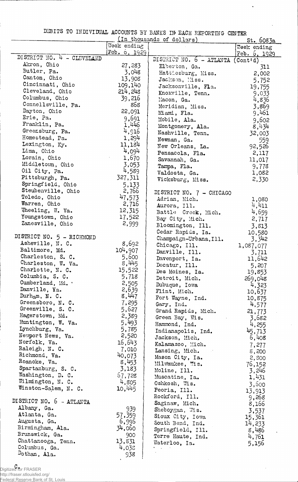DIBITS TO BTDIVIDUAL ACCOUNTS BY BANKS IN' EACH REPORTING CENTER

| (In thousands of dollars)                     |                 |                                  |                          |  |  |
|-----------------------------------------------|-----------------|----------------------------------|--------------------------|--|--|
|                                               | Week ending     |                                  | st. 6083a<br>Week ending |  |  |
| DISTRICT NO. 4 - CLEVELAND                    | Feb. b, 1929    |                                  | Feb. $6, 1929$           |  |  |
| Akron, Ohio                                   |                 | DISTRICT NO. 6 - ATLANTA         | $(Contid)$ .             |  |  |
| Butler, Pa.                                   | 27,283<br>3,048 | Elberton, Ga.                    | 311                      |  |  |
| Canton, Ohio                                  | 13,908          | Hattiesburg, Miss.               | 2,002                    |  |  |
| Cincinnati, Ohio                              | 109,140         | Jackson, Miss.                   | 5,752                    |  |  |
| Cleveland, Ohio                               | 214,248         | Jacksonville, Fla.               | 19,755                   |  |  |
| Columbus, Ohio                                | 39,216          | Knoxville, Tenn.<br>Macon, Ga.   | 9,033                    |  |  |
| Connellsville, Pa.                            | 868             | Meridian, Miss.                  | 4,836<br>3,869           |  |  |
| Dayton, Ohio                                  | 22,091          | Miami, Fla.                      | 9,461                    |  |  |
| Erie, Pa.                                     | 9,691           | Mobile, Ala.                     | 9,602                    |  |  |
| Franklin, Pa.                                 | 1,446           | Montgomery, Ala.                 | 8,434                    |  |  |
| Greensburg, Pa.                               | 4,916           | Nashville, Tenn.                 | 32,003                   |  |  |
| Homestead, Pa.                                | 1,294           | Newnan, Ga.                      | 559                      |  |  |
| Lexington, Ky.                                | 11,184          | New Orleans, La.                 | 92,526                   |  |  |
| Lima, Ohio                                    | 4,094           | Pensacola, Fla.                  | 2,117                    |  |  |
| Lorain, Ohio                                  | 1,670           | Savannah, Ga.                    | 11,017                   |  |  |
| Middletown, Ohio                              | 3,053           | Tampa, Fla.                      | 9,778                    |  |  |
| Oil City, Pa.                                 | 4,589           | Valdosta, Ga.                    | 1,082                    |  |  |
| Pittsburgh, Pa.                               | 327,311         | Vicksburg, Miss.                 | 2,330                    |  |  |
| Springfield, Ohio                             | 5,133           |                                  |                          |  |  |
| Steubenville, Ohio                            | 2,766           | DISTRICT NO. 7 - CHICAGO         |                          |  |  |
| Toledo, Ohio                                  | 47,573          | Adrian, Mich.                    | 1,080                    |  |  |
| Warren, Ohio                                  | 2,716           | Aurora, Ill.                     | 4,411                    |  |  |
| Wheeling, W. Va.                              | 12,315          | Battle Creek, Mich.              | 4,659                    |  |  |
| Youngstown, Ohio                              | 17,522          | Bay City, Mich.                  | 2,717                    |  |  |
| Zanesville, Ohio                              | 2,999           | Bloomington, Ill.                | 3,813                    |  |  |
|                                               |                 | Cedar Rapids, Ia.                | 10,580                   |  |  |
| DISTRICT NO. 5 - RICHMOND<br>Asheville, N. C. | 8,692           | Champaign-Urbana, Ill.           | 3,342                    |  |  |
| Baltimore, Md.                                | 104,907         | Chicago, Ill.                    | 1,087,077                |  |  |
| Charleston, S. C.                             | 5,600           | Danville, Ill.                   | 3,711                    |  |  |
| Charleston, W. Va.                            | 8,445           | Davenport, Ia.                   | 11,642                   |  |  |
| Charlotte, N. C.                              | 15,522          | Decatur, Ill.                    | 5,207                    |  |  |
| Columbia, S. C.                               | 5,718           | Des Moines, Ia.                  | 19,853                   |  |  |
| Cumberland, Md. .                             | 2,505           | Detroit, Mich.<br>Dubuque, Iowa  | 269,048<br>4,323         |  |  |
| Danville, Ya.                                 | 2,639           | Flint, Mich.                     | 10,637                   |  |  |
| Durham, N. C.                                 | 8,447           | Fort Wayne, Ind.                 | 10,875                   |  |  |
| Greensboro, N. C.                             | 7,295           | Gary, Ind.                       | 4,577                    |  |  |
| Greenville, S. C.                             | 5,627           | Grand Rapids, Mich.              | 21,773                   |  |  |
| Hagerstown, Md.                               | 2,389           | Green Bay, Wis.                  | 3,682                    |  |  |
| Huntington, W. Va.                            | 5,493           | Hammond, Ind.                    | 4, 255                   |  |  |
| Lynchburg, Va.                                | 5,785           | Indianapolis, Ind.               | 45,713                   |  |  |
| Newport News, Va.                             | 2,520           | Jackson, Mich,                   | 6,408                    |  |  |
| Norfolk, Va.                                  | 16,643          | Kalamazoo, Mich.                 | 7,277                    |  |  |
| Raleigh, N. C.                                | 7,010           | Lansing, Mich.                   | 8,200                    |  |  |
| Richmond, Va.                                 | 40,073          | Mason City, Ia.                  | 2,800                    |  |  |
| Roanoke, Va.<br>Spartanburg, S. C.            | 8,453           | Milwaukee, Wis.                  | 76,152                   |  |  |
| Washington, D. C.                             | 3,183<br>67,728 | Moline, Ill.                     | 3,246                    |  |  |
| Wilmington, N. C.                             | 4,805           | Muscatine, Ia.                   | 1,431                    |  |  |
| Winston-Salem, N. C.                          | 10,445          | Oshkosh, Wis.                    | 3,500                    |  |  |
|                                               |                 | Peoria, Ill.                     | 13,913                   |  |  |
| DISTRICT NO. 6 - ATLANTA                      |                 | Rockford, Ill.<br>Saginaw, Mich. | 9,268                    |  |  |
| Albany, Ga.                                   | 939             | Sheboygan, Wis.                  | 8,166                    |  |  |
| Atlanta, Ga.                                  | 57,359          | Sioux City, Iowa                 | 3,537<br>15,361          |  |  |
| Augusta, Ga.                                  | 6,996           | South Bend, Ind.                 | 14,233                   |  |  |
| Birmingham, Ala.                              | 34,060          | Springfield, Ill.                | 8,486                    |  |  |
| Brunswick, Ga.                                | 900             | Terre Haute, Ind.                | 4,761                    |  |  |
| Chattanooga, Tenn.                            | 13,831          | Waterloo, Ia.                    | 5,156                    |  |  |
| Columbus, Ga.                                 | 4,038           |                                  |                          |  |  |
| Dothan, Ala.                                  | 938             |                                  |                          |  |  |

c. Digitized for FRASER http://fraser.stlouisfed.org/

ļ

Federal Reserve Bank of St. Louis